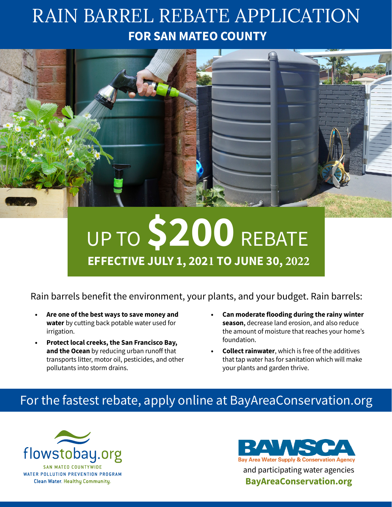# RAIN BARREL REBATE APPLICATION **FOR SAN MATEO COUNTY**



# UP TO **\$200** REBATE **EFFECTIVE JULY 1, 2021 TO JUNE 30, 2022**

Rain barrels benefit the environment, your plants, and your budget. Rain barrels:

- **• Are one of the best ways to save money and water** by cutting back potable water used for irrigation.
- **• Protect local creeks, the San Francisco Bay, and the Ocean** by reducing urban runoff that transports litter, motor oil, pesticides, and other pollutants into storm drains.
- **• Can moderate flooding during the rainy winter season,** decrease land erosion, and also reduce the amount of moisture that reaches your home's foundation.
- **• Collect rainwater**, which is free of the additives that tap water has for sanitation which will make your plants and garden thrive.

### For the fastest rebate, apply online at [BayAreaConservation.org](http://bayareaconservation.org/)



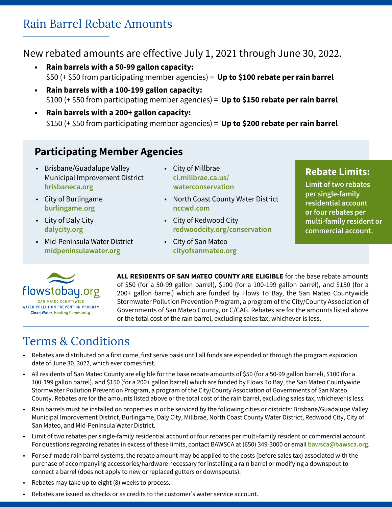#### Rain Barrel Rebate Amounts

#### New rebated amounts are effective July 1, 2021 through June 30, 2022.

- **• Rain barrels with a 50-99 gallon capacity:** \$50 (+ \$50 from participating member agencies) = **Up to \$100 rebate per rain barrel**
- **• Rain barrels with a 100-199 gallon capacity:** \$100 (+ \$50 from participating member agencies) = **Up to \$150 rebate per rain barrel**
- **• Rain barrels with a 200+ gallon capacity:** \$150 (+ \$50 from participating member agencies) = **Up to \$200 rebate per rain barrel**

#### **Participating Member Agencies**

- Brisbane/Guadalupe Valley Municipal Improvement District **[brisbaneca.org](https://www.brisbaneca.org/)**
- City of Burlingame **[burlingame.org](https://www.burlingame.org/)**
- City of Daly City **[dalycity.org](http://www.dalycity.org/)**
- Mid-Peninsula Water District **[midpeninsulawater.org](https://www.midpeninsulawater.org/)**
- City of Millbrae **[ci.millbrae.ca.us/](https://www.ci.millbrae.ca.us/departments-services/public-works/water-conservation) [waterconservation](https://www.ci.millbrae.ca.us/departments-services/public-works/water-conservation)**
- North Coast County Water District **[nccwd.com](https://nccwd.com/)**
- City of Redwood City **[redwoodcity.org/conservation](https://www.redwoodcity.org/departments/public-works/water/conservation)**
- City of San Mateo **[cityofsanmateo.org](https://www.cityofsanmateo.org/)**

#### **Rebate Limits:**

**Limit of two rebates per single-family residential account or four rebates per multi-family resident or commercial account.**



**ALL RESIDENTS OF SAN MATEO COUNTY ARE ELIGIBLE** for the base rebate amounts of \$50 (for a 50-99 gallon barrel), \$100 (for a 100-199 gallon barrel), and \$150 (for a 200+ gallon barrel) which are funded by Flows To Bay, the San Mateo Countywide Stormwater Pollution Prevention Program, a program of the City/County Association of Governments of San Mateo County, or C/CAG. Rebates are for the amounts listed above or the total cost of the rain barrel, excluding sales tax, whichever is less.

## Terms & Conditions

- Rebates are distributed on a first come, first serve basis until all funds are expended or through the program expiration date of June 30, 2022, which ever comes first.
- All residents of San Mateo County are eligible for the base rebate amounts of \$50 (for a 50-99 gallon barrel), \$100 (for a 100-199 gallon barrel), and \$150 (for a 200+ gallon barrel) which are funded by Flows To Bay, the San Mateo Countywide Stormwater Pollution Prevention Program, a program of the City/County Association of Governments of San Mateo County. Rebates are for the amounts listed above or the total cost of the rain barrel, excluding sales tax, whichever is less.
- Rain barrels must be installed on properties in or be serviced by the following cities or districts: Brisbane/Guadalupe Valley Municipal Improvement District, Burlingame, Daly City, Millbrae, North Coast County Water District, Redwood City, City of San Mateo, and Mid-Peninsula Water District.
- Limit of two rebates per single-family residential account or four rebates per multi-family resident or commercial account. For questions regarding rebates in excess of these limits, contact BAWSCA at (650) 349-3000 or email **[bawsca@bawsca.org](mailto:bawsca%40bawsca.org?subject=)**.
- For self-made rain barrel systems, the rebate amount may be applied to the costs (before sales tax) associated with the purchase of accompanying accessories/hardware necessary for installing a rain barrel or modifying a downspout to connect a barrel (does not apply to new or replaced gutters or downspouts).
- Rebates may take up to eight (8) weeks to process.
- Rebates are issued as checks or as credits to the customer's water service account.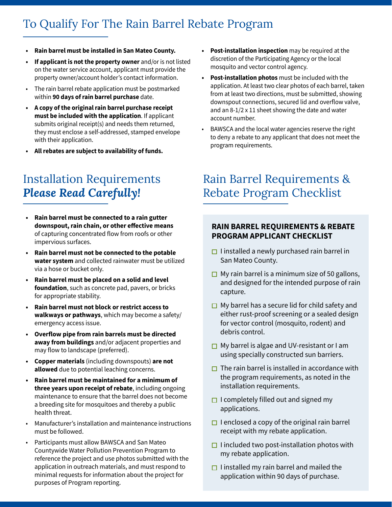#### To Qualify For The Rain Barrel Rebate Program

- **• Rain barrel must be installed in San Mateo County.**
- **• If applicant is not the property owner** and/or is not listed on the water service account, applicant must provide the property owner/account holder's contact information.
- The rain barrel rebate application must be postmarked within **90 days of rain barrel purchase** date.
- **• A copy of the original rain barrel purchase receipt must be included with the application**. If applicant submits original receipt(s) and needs them returned, they must enclose a self-addressed, stamped envelope with their application.
- **• All rebates are subject to availability of funds.**

#### Installation Requirements *Please Read Carefully!*

- **• Rain barrel must be connected to a rain gutter downspout, rain chain, or other effective means** of capturing concentrated flow from roofs or other impervious surfaces.
- **• Rain barrel must not be connected to the potable water system** and collected rainwater must be utilized via a hose or bucket only.
- **• Rain barrel must be placed on a solid and level foundation**, such as concrete pad, pavers, or bricks for appropriate stability.
- **• Rain barrel must not block or restrict access to walkways or pathways**, which may become a safety/ emergency access issue.
- **• Overflow pipe from rain barrels must be directed away from buildings** and/or adjacent properties and may flow to landscape (preferred).
- **• Copper materials** (including downspouts) **are not allowed** due to potential leaching concerns.
- **• Rain barrel must be maintained for a minimum of three years upon receipt of rebate**, including ongoing maintenance to ensure that the barrel does not become a breeding site for mosquitoes and thereby a public health threat.
- Manufacturer's installation and maintenance instructions must be followed.
- Participants must allow BAWSCA and San Mateo Countywide Water Pollution Prevention Program to reference the project and use photos submitted with the application in outreach materials, and must respond to minimal requests for information about the project for purposes of Program reporting.
- **• Post-installation inspection** may be required at the discretion of the Participating Agency or the local mosquito and vector control agency.
- **• Post-installation photos** must be included with the application. At least two clear photos of each barrel, taken from at least two directions, must be submitted, showing downspout connections, secured lid and overflow valve, and an 8-1/2 x 11 sheet showing the date and water account number.
- BAWSCA and the local water agencies reserve the right to deny a rebate to any applicant that does not meet the program requirements.

#### Rain Barrel Requirements & Rebate Program Checklist

#### **RAIN BARREL REQUIREMENTS & REBATE PROGRAM APPLICANT CHECKLIST**

- $\Box$  I installed a newly purchased rain barrel in San Mateo County.
- $\Box$  My rain barrel is a minimum size of 50 gallons, and designed for the intended purpose of rain capture.
- $\Box$  My barrel has a secure lid for child safety and either rust-proof screening or a sealed design for vector control (mosquito, rodent) and debris control.
- $\Box$  My barrel is algae and UV-resistant or I am using specially constructed sun barriers.
- $\Box$  The rain barrel is installed in accordance with the program requirements, as noted in the installation requirements.
- $\Box$  I completely filled out and signed my applications.
- $\Box$  I enclosed a copy of the original rain barrel receipt with my rebate application.
- $\Box$  I included two post-installation photos with my rebate application.
- $\Box$  I installed my rain barrel and mailed the application within 90 days of purchase.